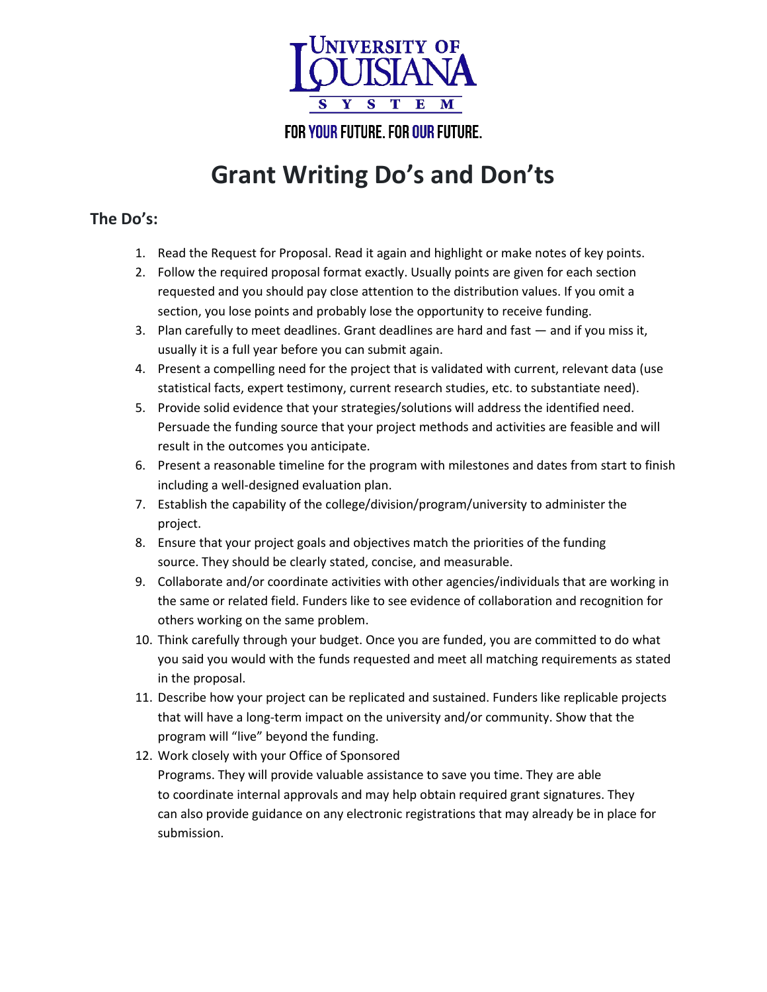

**FOR YOUR FUTURE, FOR OUR FUTURE.** 

## **Grant Writing Do's and Don'ts**

## **The Do's:**

- 1. Read the Request for Proposal. Read it again and highlight or make notes of key points.
- 2. Follow the required proposal format exactly. Usually points are given for each section requested and you should pay close attention to the distribution values. If you omit a section, you lose points and probably lose the opportunity to receive funding.
- 3. Plan carefully to meet deadlines. Grant deadlines are hard and fast and if you miss it, usually it is a full year before you can submit again.
- 4. Present a compelling need for the project that is validated with current, relevant data (use statistical facts, expert testimony, current research studies, etc. to substantiate need).
- 5. Provide solid evidence that your strategies/solutions will address the identified need. Persuade the funding source that your project methods and activities are feasible and will result in the outcomes you anticipate.
- 6. Present a reasonable timeline for the program with milestones and dates from start to finish including a well-designed evaluation plan.
- 7. Establish the capability of the college/division/program/university to administer the project.
- 8. Ensure that your project goals and objectives match the priorities of the funding source. They should be clearly stated, concise, and measurable.
- 9. Collaborate and/or coordinate activities with other agencies/individuals that are working in the same or related field. Funders like to see evidence of collaboration and recognition for others working on the same problem.
- 10. Think carefully through your budget. Once you are funded, you are committed to do what you said you would with the funds requested and meet all matching requirements as stated in the proposal.
- 11. Describe how your project can be replicated and sustained. Funders like replicable projects that will have a long-term impact on the university and/or community. Show that the program will "live" beyond the funding.
- 12. Work closely with your Office of Sponsored

Programs. They will provide valuable assistance to save you time. They are able to coordinate internal approvals and may help obtain required grant signatures. They can also provide guidance on any electronic registrations that may already be in place for submission.